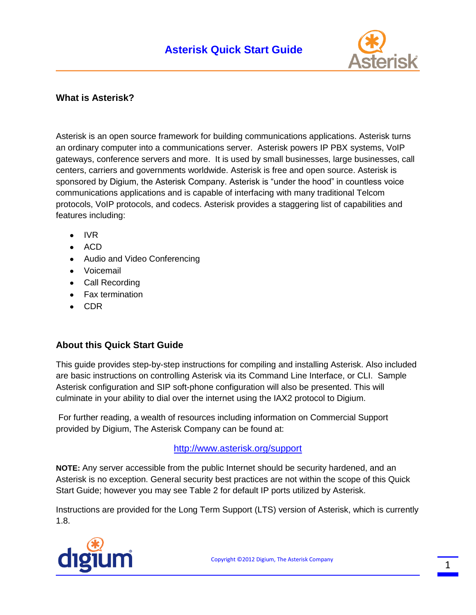

## **What is Asterisk?**

Asterisk is an open source framework for building communications applications. Asterisk turns an ordinary computer into a communications server. Asterisk powers IP PBX systems, VoIP gateways, conference servers and more. It is used by small businesses, large businesses, call centers, carriers and governments worldwide. Asterisk is free and open source. Asterisk is sponsored by Digium, the Asterisk Company. Asterisk is "under the hood" in countless voice communications applications and is capable of interfacing with many traditional Telcom protocols, VoIP protocols, and codecs. Asterisk provides a staggering list of capabilities and features including:

- IVR
- $\bullet$  ACD
- Audio and Video Conferencing
- Voicemail
- Call Recording
- Fax termination
- CDR

### **About this Quick Start Guide**

This guide provides step-by-step instructions for compiling and installing Asterisk. Also included are basic instructions on controlling Asterisk via its Command Line Interface, or CLI. Sample Asterisk configuration and SIP soft-phone configuration will also be presented. This will culminate in your ability to dial over the internet using the IAX2 protocol to Digium.

For further reading, a wealth of resources including information on Commercial Support provided by Digium, The Asterisk Company can be found at:

### [http://www.asterisk.org/support](http://www.asterisk.org/support?utm_source=document&utm_medium=pdf&utm_campaign=quick%2Bstart%2Bguide)

**NOTE:** Any server accessible from the public Internet should be security hardened, and an Asterisk is no exception. General security best practices are not within the scope of this Quick Start Guide; however you may see Table 2 for default IP ports utilized by Asterisk.

Instructions are provided for the Long Term Support (LTS) version of Asterisk, which is currently 1.8.

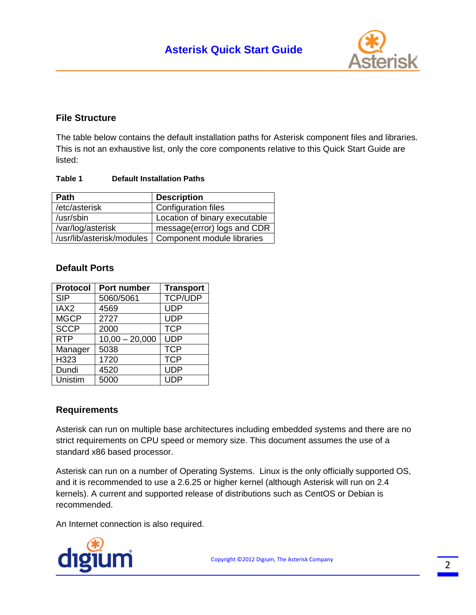

## **File Structure**

The table below contains the default installation paths for Asterisk component files and libraries. This is not an exhaustive list, only the core components relative to this Quick Start Guide are listed:

#### **Table 1 Default Installation Paths**

| <b>Path</b>               | <b>Description</b>            |
|---------------------------|-------------------------------|
| /etc/asterisk             | <b>Configuration files</b>    |
| /usr/sbin                 | Location of binary executable |
| /var/log/asterisk         | message(error) logs and CDR   |
| /usr/lib/asterisk/modules | Component module libraries    |

## **Default Ports**

| <b>Protocol</b>  | Port number      | <b>Transport</b> |
|------------------|------------------|------------------|
| <b>SIP</b>       | 5060/5061        | <b>TCP/UDP</b>   |
| IAX <sub>2</sub> | 4569             | <b>UDP</b>       |
| <b>MGCP</b>      | 2727             | <b>UDP</b>       |
| <b>SCCP</b>      | 2000             | <b>TCP</b>       |
| <b>RTP</b>       | $10,00 - 20,000$ | <b>UDP</b>       |
| Manager          | 5038             | <b>TCP</b>       |
| H323             | 1720             | <b>TCP</b>       |
| Dundi            | 4520             | <b>UDP</b>       |
| Unistim          | 5000             | <b>UDP</b>       |

### **Requirements**

Asterisk can run on multiple base architectures including embedded systems and there are no strict requirements on CPU speed or memory size. This document assumes the use of a standard x86 based processor.

Asterisk can run on a number of Operating Systems. Linux is the only officially supported OS, and it is recommended to use a 2.6.25 or higher kernel (although Asterisk will run on 2.4 kernels). A current and supported release of distributions such as CentOS or Debian is recommended.

An Internet connection is also required.

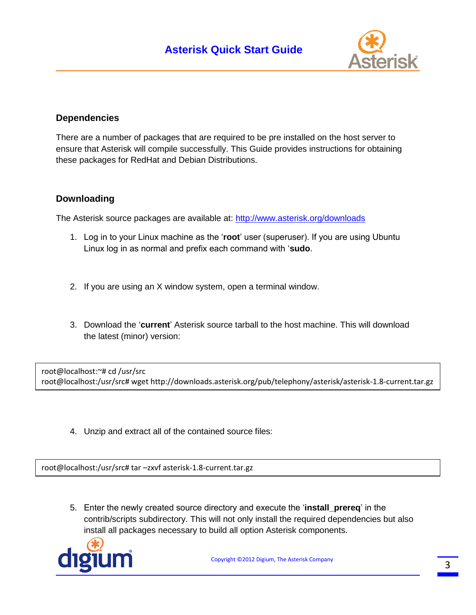

## **Dependencies**

There are a number of packages that are required to be pre installed on the host server to ensure that Asterisk will compile successfully. This Guide provides instructions for obtaining these packages for RedHat and Debian Distributions.

## **Downloading**

The Asterisk source packages are available at: [http://www.asterisk.org/downloads](http://www.asterisk.org/downloads?utm_source=document&utm_medium=pdf&utm_campaign=quick%2Bstart%2Bguide)

- 1. Log in to your Linux machine as the '**root**' user (superuser). If you are using Ubuntu Linux log in as normal and prefix each command with '**sudo**.
- 2. If you are using an X window system, open a terminal window.
- 3. Download the '**current**' Asterisk source tarball to the host machine. This will download the latest (minor) version:

root@localhost:~# cd /usr/src root@localhost:/usr/src# wget http://downloads.asterisk.org/pub/telephony/asterisk/asterisk-1.8-current.tar.gz

4. Unzip and extract all of the contained source files:

root@localhost:/usr/src# tar –zxvf asterisk-1.8-current.tar.gz

5. Enter the newly created source directory and execute the '**install\_prereq**' in the contrib/scripts subdirectory. This will not only install the required dependencies but also install all packages necessary to build all option Asterisk components.

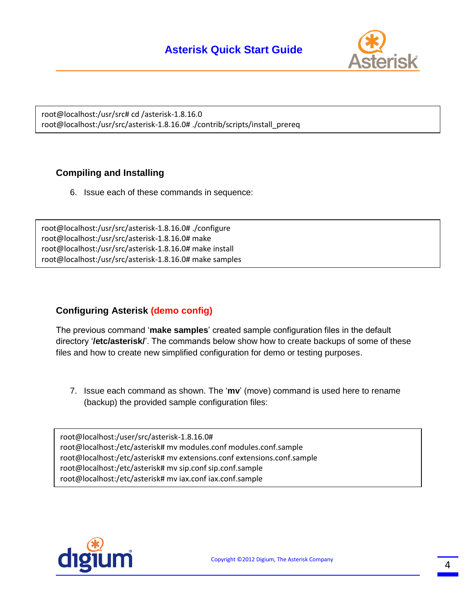# **Asterisk Quick Start Guide**



root@localhost:/usr/src# cd /asterisk-1.8.16.0 root@localhost:/usr/src/asterisk-1.8.16.0# ./contrib/scripts/install\_prereq

## **Compiling and Installing**

6. Issue each of these commands in sequence:

root@localhost:/usr/src/asterisk-1.8.16.0# ./configure root@localhost:/usr/src/asterisk-1.8.16.0# make root@localhost:/usr/src/asterisk-1.8.16.0# make install root@localhost:/usr/src/asterisk-1.8.16.0# make samples

## **Configuring Asterisk (demo config)**

The previous command '**make samples**' created sample configuration files in the default directory '**/etc/asterisk/**'. The commands below show how to create backups of some of these files and how to create new simplified configuration for demo or testing purposes.

7. Issue each command as shown. The '**mv**' (move) command is used here to rename (backup) the provided sample configuration files:

root@localhost:/user/src/asterisk-1.8.16.0# root@localhost:/etc/asterisk# mv modules.conf modules.conf.sample root@localhost:/etc/asterisk# mv extensions.conf extensions.conf.sample root@localhost:/etc/asterisk# mv sip.conf sip.conf.sample root@localhost:/etc/asterisk# mv iax.conf iax.conf.sample

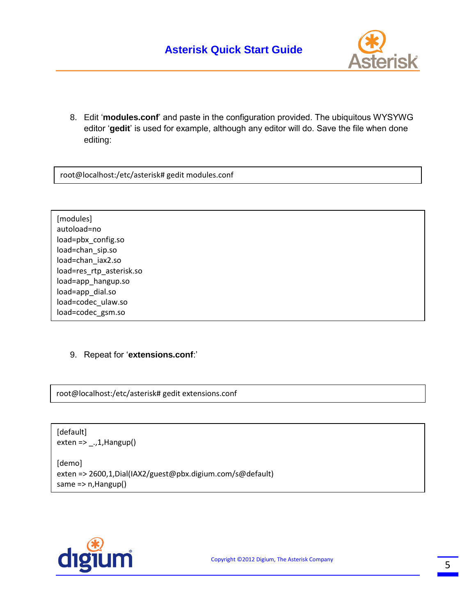

8. Edit '**modules.conf**' and paste in the configuration provided. The ubiquitous WYSYWG editor '**gedit**' is used for example, although any editor will do. Save the file when done editing:

root@localhost:/etc/asterisk# gedit modules.conf

load=chan\_iax2.so [modules] autoload=no load=pbx\_config.so load=chan\_sip.so load=res\_rtp\_asterisk.so load=app\_hangup.so load=app\_dial.so load=codec\_ulaw.so load=codec\_gsm.so

### 9. Repeat for '**extensions.conf**:'

root@localhost:/etc/asterisk# gedit extensions.conf

[default]  $exten$  => \_.,1, Hangup()

[demo] exten => 2600,1,Dial(IAX2/guest@pbx.digium.com/s@default) same => n,Hangup()

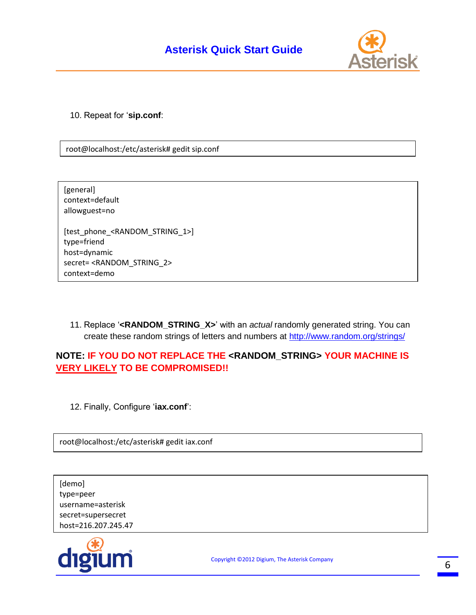

10. Repeat for '**sip.conf**:

root@localhost:/etc/asterisk# gedit sip.conf

| [general]<br>context=default<br>allowguest=no                 |
|---------------------------------------------------------------|
| [test phone <random 1="" string="">]<br/>type=friend</random> |
| host=dynamic                                                  |
| secret= <random 2="" string=""></random>                      |
| context=demo                                                  |

11. Replace '**<RANDOM\_STRING\_X>**' with an *actual* randomly generated string. You can create these random strings of letters and numbers at<http://www.random.org/strings/>

## **NOTE: IF YOU DO NOT REPLACE THE <RANDOM\_STRING> YOUR MACHINE IS VERY LIKELY TO BE COMPROMISED!!**

12. Finally, Configure '**iax.conf**':

root@localhost:/etc/asterisk# gedit iax.conf

[demo] type=peer username=asterisk secret=supersecret host=216.207.245.47

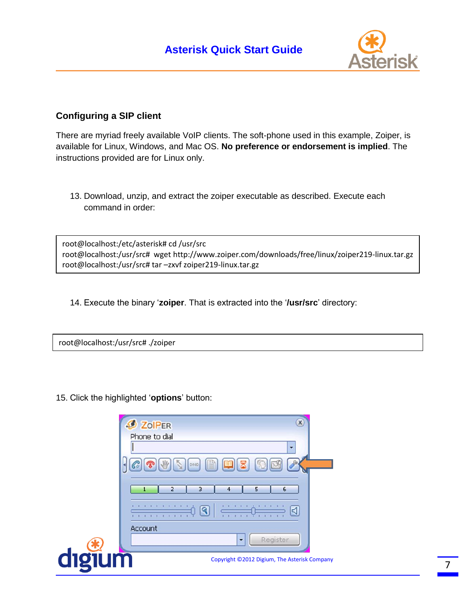

## **Configuring a SIP client**

There are myriad freely available VoIP clients. The soft-phone used in this example, Zoiper, is available for Linux, Windows, and Mac OS. **No preference or endorsement is implied**. The instructions provided are for Linux only.

13. Download, unzip, and extract the zoiper executable as described. Execute each command in order:

root@localhost:/etc/asterisk# cd /usr/src root@localhost:/usr/src# wget http://www.zoiper.com/downloads/free/linux/zoiper219-linux.tar.gz root@localhost:/usr/src# tar –zxvf zoiper219-linux.tar.gz

14. Execute the binary '**zoiper**. That is extracted into the '**/usr/src**' directory:

root@localhost:/usr/src# ./zoiper

15. Click the highlighted '**options**' button:

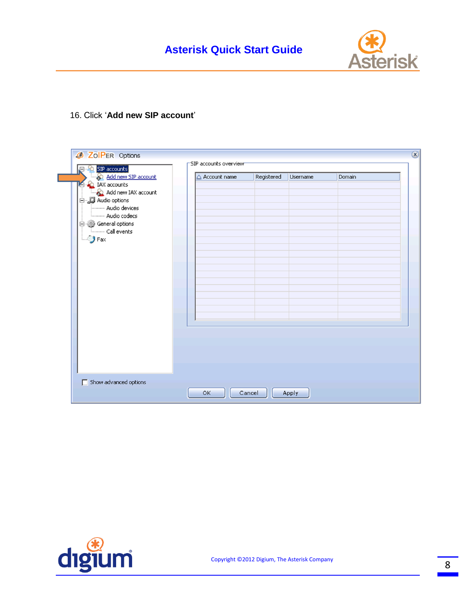

### 16. Click '**Add new SIP account**'

| Add new SIP account    | △ Account name | Registered | Username | Domain |  |
|------------------------|----------------|------------|----------|--------|--|
| <b>D</b> IAX accounts  |                |            |          |        |  |
| Add new IAX account    |                |            |          |        |  |
| 白 J Audio options      |                |            |          |        |  |
| -------- Audio devices |                |            |          |        |  |
| -------- Audio codecs  |                |            |          |        |  |
| General options        |                |            |          |        |  |
| Call events            |                |            |          |        |  |
|                        |                |            |          |        |  |
|                        |                |            |          |        |  |
|                        |                |            |          |        |  |
|                        |                |            |          |        |  |
|                        |                |            |          |        |  |
|                        |                |            |          |        |  |
|                        |                |            |          |        |  |
|                        |                |            |          |        |  |
|                        |                |            |          |        |  |
|                        |                |            |          |        |  |
|                        |                |            |          |        |  |
|                        |                |            |          |        |  |

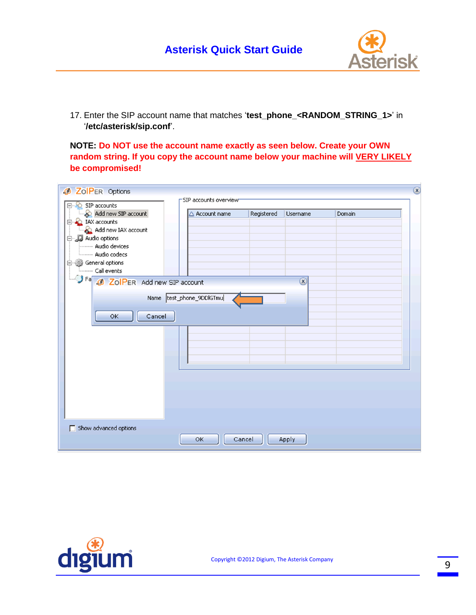

17. Enter the SIP account name that matches '**test\_phone\_<RANDOM\_STRING\_1>**' in '**/etc/asterisk/sip.conf**'.

**NOTE: Do NOT use the account name exactly as seen below. Create your OWN**  random string. If you copy the account name below your machine will **VERY LIKELY be compromised!**

| <b>Ø ZoIPER Options</b>           |                          |            |               |        | $\circled{x}$ |
|-----------------------------------|--------------------------|------------|---------------|--------|---------------|
| SIP accounts                      | SIP accounts overview    |            |               |        |               |
| o<br>Add new SIP account          | △ Account name           | Registered | Username      | Domain |               |
| <b>E</b> IAX accounts             |                          |            |               |        |               |
| Add new IAX account               |                          |            |               |        |               |
| 白 JJ Audio options                |                          |            |               |        |               |
| Audio devices                     |                          |            |               |        |               |
| Audio codecs                      |                          |            |               |        |               |
| Seneral options<br>Call events    |                          |            |               |        |               |
| J Fa 3 ZoIPER Add new SIP account |                          |            | $\circled{x}$ |        |               |
|                                   |                          |            |               |        |               |
|                                   | Name test_phone_9DDIGTmu |            |               |        |               |
|                                   |                          |            |               |        |               |
| Cancel<br>OK                      |                          |            |               |        |               |
|                                   |                          |            |               |        |               |
|                                   |                          |            |               |        |               |
|                                   |                          |            |               |        |               |
|                                   |                          |            |               |        |               |
|                                   |                          |            |               |        |               |
|                                   |                          |            |               |        |               |
|                                   |                          |            |               |        |               |
|                                   |                          |            |               |        |               |
|                                   |                          |            |               |        |               |
|                                   |                          |            |               |        |               |
|                                   |                          |            |               |        |               |
| Show advanced options             |                          |            |               |        |               |
|                                   | OK                       | Cancel     | Apply         |        |               |

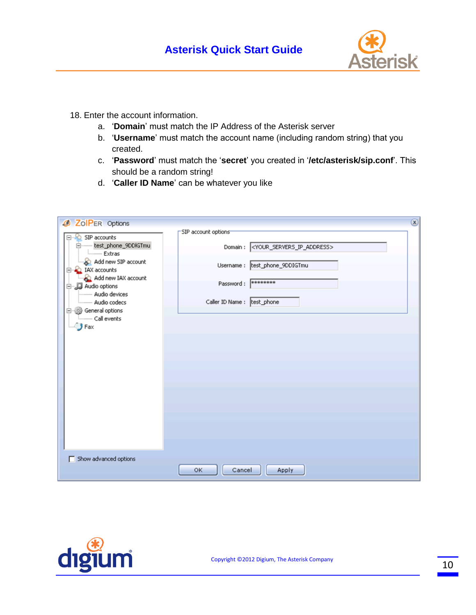

- 18. Enter the account information.
	- a. '**Domain**' must match the IP Address of the Asterisk server
	- b. '**Username**' must match the account name (including random string) that you created.
	- c. '**Password**' must match the '**secret**' you created in '**/etc/asterisk/sip.conf**'. This should be a random string!
	- d. '**Caller ID Name**' can be whatever you like

|                                                                                                                                                                                                                                                                                |                                                                                                                                                                                        | $\circledR$ |
|--------------------------------------------------------------------------------------------------------------------------------------------------------------------------------------------------------------------------------------------------------------------------------|----------------------------------------------------------------------------------------------------------------------------------------------------------------------------------------|-------------|
| <b>Ø ZoIPER Options</b><br>SIP accounts<br>e<br>test_phone_9DDIGTmu<br><b>Extras</b><br>Add new SIP account<br>IAX accounts<br>E<br>Add new IAX account<br>白 JJ Audio options<br>-------- Audio devices<br>Audio codecs<br>白 @ General options<br>Call events<br>$\bigcup$ Fax | SIP account options<br>Domain: <your_servers_ip_address><br/>Username : test_phone_9DDIGTmu<br/>0000000000000<br/>Password:<br/>Caller ID Name :  test_phone</your_servers_ip_address> |             |
| Show advanced options                                                                                                                                                                                                                                                          | OK<br>Cancel<br>Apply                                                                                                                                                                  |             |

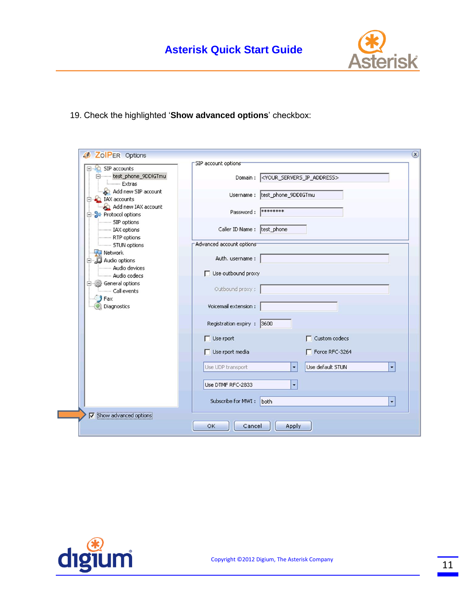

19. Check the highlighted '**Show advanced options**' checkbox:

| SIP accounts                                       | SIP account options            |                                                             |
|----------------------------------------------------|--------------------------------|-------------------------------------------------------------|
| intest_phone_9DDIGTmu<br>Extras                    |                                | Domain: <your_servers_ip_address></your_servers_ip_address> |
| Add new SIP account<br>E LAX accounts              | Username : test_phone_9DDIGTmu |                                                             |
| Add new IAX account<br><b>E</b> > Protocol options | Password: ********             |                                                             |
| SIP options<br>------- IAX options                 | Caller ID Name :  test_phone   |                                                             |
| -------- RTP options<br>STUN options               | Advanced account options       |                                                             |
| Network<br>白 D Audio options                       | Auth. username:                |                                                             |
| - Audio devices<br>-- Audio codecs                 | Use outbound proxy             |                                                             |
| General options<br>Call events                     | Outbound proxy:                |                                                             |
| Fax<br>Diagnostics                                 | Voicemail extension :          |                                                             |
|                                                    | Registration expiry : 3600     |                                                             |
|                                                    | $\Box$ Use rport               | Custom codecs                                               |
|                                                    | $\Box$ Use rport media         | Force RFC-3264                                              |
|                                                    | Use UDP transport              | Use default STUN<br>$\overline{\phantom{a}}$<br>٠           |
|                                                    | Use DTMF RFC-2833              | ٠                                                           |
|                                                    | Subscribe for MWI: both        | ۰                                                           |
| <b>V</b> Show advanced options                     |                                |                                                             |

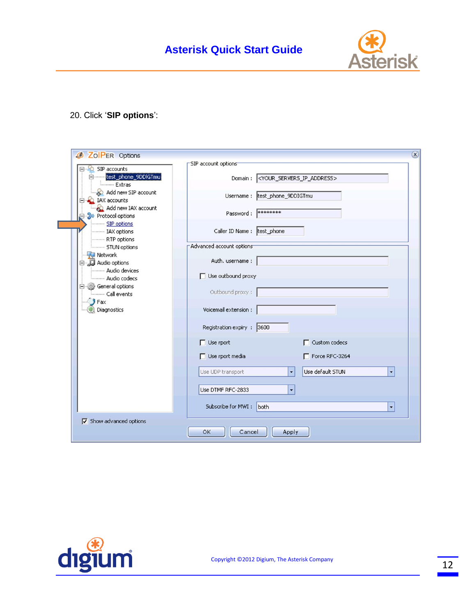

## 20. Click '**SIP options**':

|                                              | SIP account options                                         |   |
|----------------------------------------------|-------------------------------------------------------------|---|
| SIP accounts                                 |                                                             |   |
| test_phone_9DDlGTmu<br>Extras                | Domain: <your_servers_ip_address></your_servers_ip_address> |   |
| Add new SIP account<br>IAX accounts          | Username: test_phone_9DDIGTmu                               |   |
| Add new IAX account<br>Protocol options      | ********<br>Password:                                       |   |
| -SIP options<br>---- IAX options             | Caller ID Name:  test_phone                                 |   |
| ---- RTP options                             | Advanced account options                                    |   |
| ----- STUN options                           |                                                             |   |
| Network<br>Audio options<br>Ξ                | Auth. username :                                            |   |
| - Audio devices<br>- Audio codecs            | Use outbound proxy                                          |   |
| <b>General options</b><br>e<br>- Call events | Outbound proxy:                                             |   |
| Fax<br>Diagnostics                           | Voicemail extension :                                       |   |
|                                              | Registration expiry : 3600                                  |   |
|                                              | $\Box$ Custom codecs<br>$\Box$ Use rport                    |   |
|                                              | Use rport media<br>Force RFC-3264                           |   |
|                                              | Use default STUN<br>Use UDP transport<br>۰                  | ۰ |
|                                              |                                                             |   |
|                                              | Use DTMF RFC-2833<br>۰                                      |   |
|                                              | Subscribe for MWI:<br>both                                  | ۰ |
|                                              |                                                             |   |
| $\nabla$ Show advanced options               | OK<br>Cancel<br>Apply                                       |   |

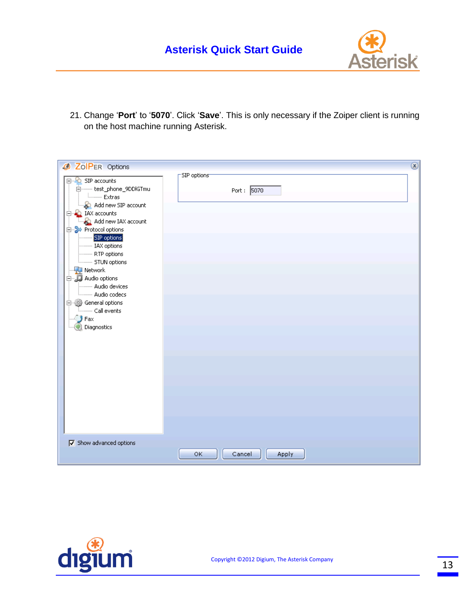

21. Change '**Port**' to '**5070**'. Click '**Save**'. This is only necessary if the Zoiper client is running on the host machine running Asterisk.

| <b>Ø ZoIPER Options</b>                                                                                                                                                                                                                                                                                                                                                                                                                                             |                           | $\circledR$ |
|---------------------------------------------------------------------------------------------------------------------------------------------------------------------------------------------------------------------------------------------------------------------------------------------------------------------------------------------------------------------------------------------------------------------------------------------------------------------|---------------------------|-------------|
| ⊟ <sup>©</sup> SIP accounts<br>□ test_phone_9DDlGTmu<br><b>Lesson Extras</b><br>Add new SIP account<br><b>E A</b> IAX accounts<br>Add new IAX account<br><b>E</b> DV Protocol options<br>SIP options<br>---------- IAX options<br>---------- RTP options<br><b>Electronic STUN options</b><br>$\P$ Network<br>白…D Audio options<br>--------- Audio devices<br><b>Luccion</b> Audio codecs<br><b>E</b> -O General options<br>Lad events<br>$\Box$ Fax<br>Diagnostics | SIP options<br>Port: 5070 |             |
| $\nabla$ Show advanced options                                                                                                                                                                                                                                                                                                                                                                                                                                      | ОK<br>Cancel<br>Apply     |             |

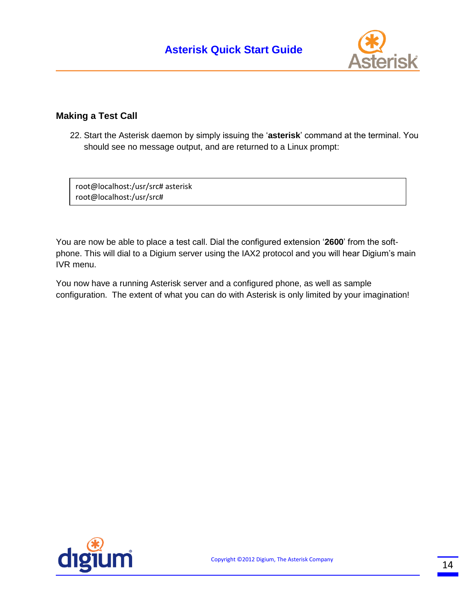

## **Making a Test Call**

22. Start the Asterisk daemon by simply issuing the '**asterisk**' command at the terminal. You should see no message output, and are returned to a Linux prompt:

root@localhost:/usr/src# asterisk root@localhost:/usr/src#

You are now be able to place a test call. Dial the configured extension '**2600**' from the softphone. This will dial to a Digium server using the IAX2 protocol and you will hear Digium's main IVR menu.

You now have a running Asterisk server and a configured phone, as well as sample configuration. The extent of what you can do with Asterisk is only limited by your imagination!

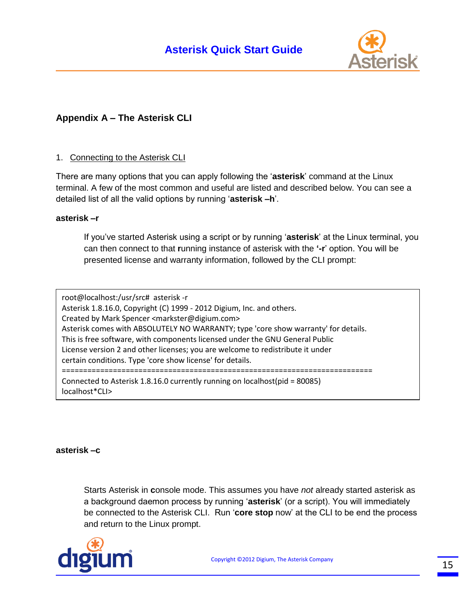

## **Appendix A – The Asterisk CLI**

### 1. Connecting to the Asterisk CLI

There are many options that you can apply following the '**asterisk**' command at the Linux terminal. A few of the most common and useful are listed and described below. You can see a detailed list of all the valid options by running '**asterisk –h**'.

#### **asterisk –r**

If you've started Asterisk using a script or by running '**asterisk**' at the Linux terminal, you can then connect to that **r**unning instance of asterisk with the **'-r**' option. You will be presented license and warranty information, followed by the CLI prompt:

root@localhost:/usr/src# asterisk -r Asterisk 1.8.16.0, Copyright (C) 1999 - 2012 Digium, Inc. and others. Created by Mark Spencer <markster@digium.com> Asterisk comes with ABSOLUTELY NO WARRANTY; type 'core show warranty' for details. This is free software, with components licensed under the GNU General Public License version 2 and other licenses; you are welcome to redistribute it under certain conditions. Type 'core show license' for details. ========================================================================= Connected to Asterisk 1.8.16.0 currently running on localhost(pid = 80085) localhost\*CLI>

#### **asterisk –c**

Starts Asterisk in **c**onsole mode. This assumes you have *not* already started asterisk as a background daemon process by running '**asterisk**' (or a script). You will immediately be connected to the Asterisk CLI. Run '**core stop** now' at the CLI to be end the process and return to the Linux prompt.